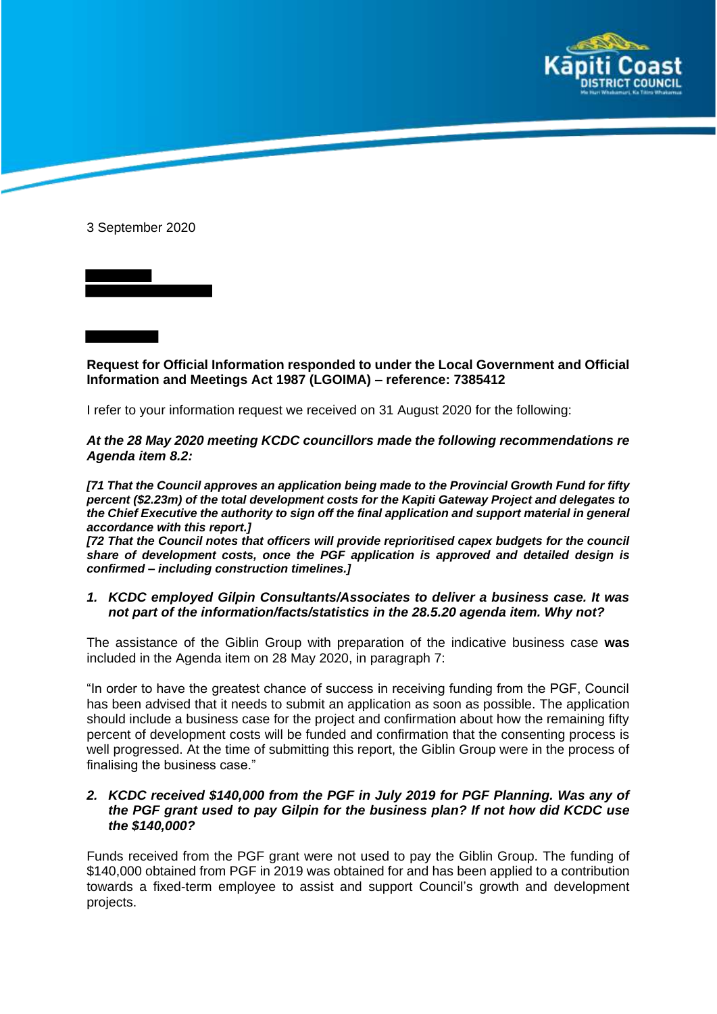

3 September 2020

**Request for Official Information responded to under the Local Government and Official Information and Meetings Act 1987 (LGOIMA) – reference: 7385412**

I refer to your information request we received on 31 August 2020 for the following:

*At the 28 May 2020 meeting KCDC councillors made the following recommendations re Agenda item 8.2:*

*[71 That the Council approves an application being made to the Provincial Growth Fund for fifty percent (\$2.23m) of the total development costs for the Kapiti Gateway Project and delegates to the Chief Executive the authority to sign off the final application and support material in general accordance with this report.]*

*[72 That the Council notes that officers will provide reprioritised capex budgets for the council share of development costs, once the PGF application is approved and detailed design is confirmed – including construction timelines.]*

*1. KCDC employed Gilpin Consultants/Associates to deliver a business case. It was not part of the information/facts/statistics in the 28.5.20 agenda item. Why not?*

The assistance of the Giblin Group with preparation of the indicative business case **was** included in the Agenda item on 28 May 2020, in paragraph 7:

"In order to have the greatest chance of success in receiving funding from the PGF, Council has been advised that it needs to submit an application as soon as possible. The application should include a business case for the project and confirmation about how the remaining fifty percent of development costs will be funded and confirmation that the consenting process is well progressed. At the time of submitting this report, the Giblin Group were in the process of finalising the business case."

## *2. KCDC received \$140,000 from the PGF in July 2019 for PGF Planning. Was any of the PGF grant used to pay Gilpin for the business plan? If not how did KCDC use the \$140,000?*

Funds received from the PGF grant were not used to pay the Giblin Group. The funding of \$140,000 obtained from PGF in 2019 was obtained for and has been applied to a contribution towards a fixed-term employee to assist and support Council's growth and development projects.